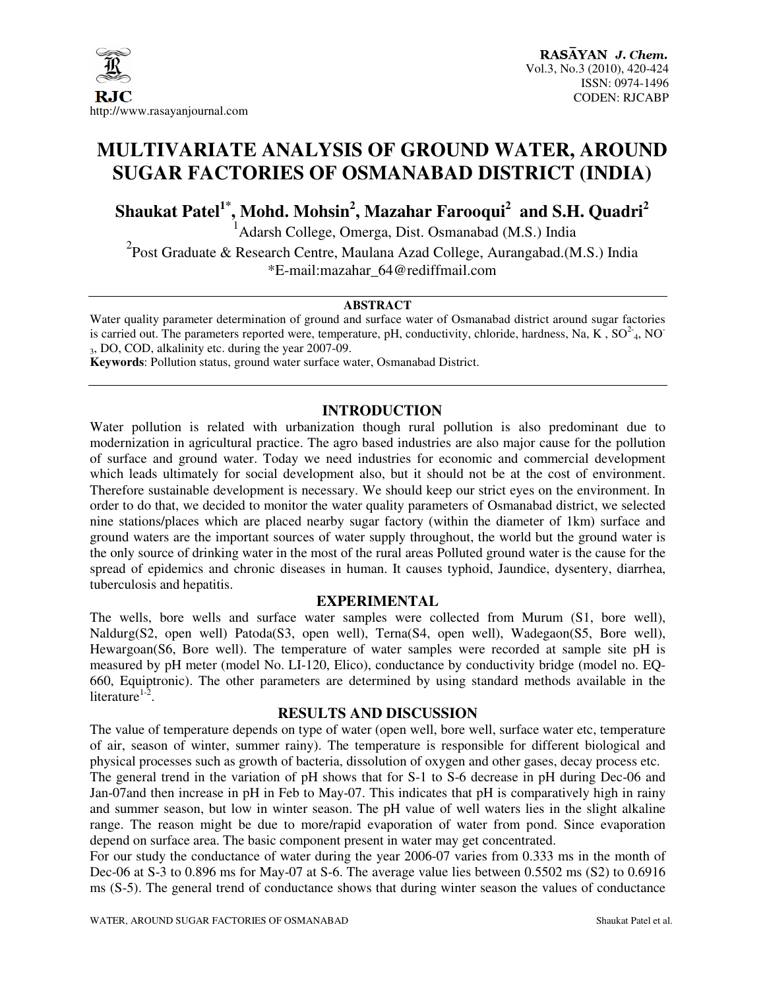

### **MULTIVARIATE ANALYSIS OF GROUND WATER, AROUND SUGAR FACTORIES OF OSMANABAD DISTRICT (INDIA)**

**Shaukat Patel1\*, Mohd. Mohsin<sup>2</sup> , Mazahar Farooqui<sup>2</sup> and S.H. Quadri<sup>2</sup>**

<sup>1</sup> Adarsh College, Omerga, Dist. Osmanabad (M.S.) India

<sup>2</sup> Post Graduate & Research Centre, Maulana Azad College, Aurangabad.(M.S.) India \*E-mail:mazahar\_64@rediffmail.com

#### **ABSTRACT**

Water quality parameter determination of ground and surface water of Osmanabad district around sugar factories is carried out. The parameters reported were, temperature, pH, conductivity, chloride, hardness, Na, K,  $SO<sup>2</sup>_{4}$ , NO <sup>3</sup>, DO, COD, alkalinity etc. during the year 2007-09.

**Keywords**: Pollution status, ground water surface water, Osmanabad District.

#### **INTRODUCTION**

Water pollution is related with urbanization though rural pollution is also predominant due to modernization in agricultural practice. The agro based industries are also major cause for the pollution of surface and ground water. Today we need industries for economic and commercial development which leads ultimately for social development also, but it should not be at the cost of environment. Therefore sustainable development is necessary. We should keep our strict eyes on the environment. In order to do that, we decided to monitor the water quality parameters of Osmanabad district, we selected nine stations/places which are placed nearby sugar factory (within the diameter of 1km) surface and ground waters are the important sources of water supply throughout, the world but the ground water is the only source of drinking water in the most of the rural areas Polluted ground water is the cause for the spread of epidemics and chronic diseases in human. It causes typhoid, Jaundice, dysentery, diarrhea, tuberculosis and hepatitis.

#### **EXPERIMENTAL**

The wells, bore wells and surface water samples were collected from Murum (S1, bore well), Naldurg(S2, open well) Patoda(S3, open well), Terna(S4, open well), Wadegaon(S5, Bore well), Hewargoan(S6, Bore well). The temperature of water samples were recorded at sample site pH is measured by pH meter (model No. LI-120, Elico), conductance by conductivity bridge (model no. EQ-660, Equiptronic). The other parameters are determined by using standard methods available in the literature $1-2$ .

#### **RESULTS AND DISCUSSION**

The value of temperature depends on type of water (open well, bore well, surface water etc, temperature of air, season of winter, summer rainy). The temperature is responsible for different biological and physical processes such as growth of bacteria, dissolution of oxygen and other gases, decay process etc. The general trend in the variation of pH shows that for S-1 to S-6 decrease in pH during Dec-06 and Jan-07and then increase in pH in Feb to May-07. This indicates that pH is comparatively high in rainy and summer season, but low in winter season. The pH value of well waters lies in the slight alkaline range. The reason might be due to more/rapid evaporation of water from pond. Since evaporation depend on surface area. The basic component present in water may get concentrated.

For our study the conductance of water during the year 2006-07 varies from 0.333 ms in the month of Dec-06 at S-3 to 0.896 ms for May-07 at S-6. The average value lies between 0.5502 ms (S2) to 0.6916 ms (S-5). The general trend of conductance shows that during winter season the values of conductance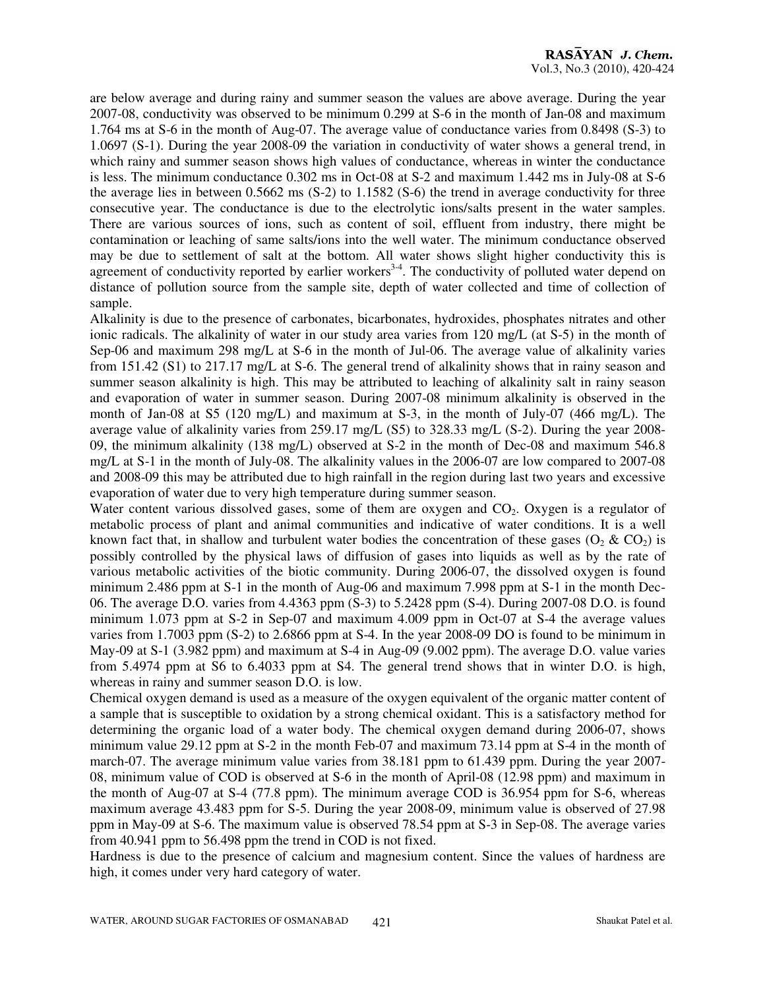are below average and during rainy and summer season the values are above average. During the year 2007-08, conductivity was observed to be minimum 0.299 at S-6 in the month of Jan-08 and maximum 1.764 ms at S-6 in the month of Aug-07. The average value of conductance varies from 0.8498 (S-3) to 1.0697 (S-1). During the year 2008-09 the variation in conductivity of water shows a general trend, in which rainy and summer season shows high values of conductance, whereas in winter the conductance is less. The minimum conductance 0.302 ms in Oct-08 at S-2 and maximum 1.442 ms in July-08 at S-6 the average lies in between 0.5662 ms (S-2) to 1.1582 (S-6) the trend in average conductivity for three consecutive year. The conductance is due to the electrolytic ions/salts present in the water samples. There are various sources of ions, such as content of soil, effluent from industry, there might be contamination or leaching of same salts/ions into the well water. The minimum conductance observed may be due to settlement of salt at the bottom. All water shows slight higher conductivity this is agreement of conductivity reported by earlier workers<sup>34</sup>. The conductivity of polluted water depend on distance of pollution source from the sample site, depth of water collected and time of collection of sample.

Alkalinity is due to the presence of carbonates, bicarbonates, hydroxides, phosphates nitrates and other ionic radicals. The alkalinity of water in our study area varies from 120 mg/L (at S-5) in the month of Sep-06 and maximum 298 mg/L at S-6 in the month of Jul-06. The average value of alkalinity varies from 151.42 (S1) to 217.17 mg/L at S-6. The general trend of alkalinity shows that in rainy season and summer season alkalinity is high. This may be attributed to leaching of alkalinity salt in rainy season and evaporation of water in summer season. During 2007-08 minimum alkalinity is observed in the month of Jan-08 at S5 (120 mg/L) and maximum at S-3, in the month of July-07 (466 mg/L). The average value of alkalinity varies from 259.17 mg/L (S5) to 328.33 mg/L (S-2). During the year 2008-09, the minimum alkalinity (138 mg/L) observed at S-2 in the month of Dec-08 and maximum 546.8 mg/L at S-1 in the month of July-08. The alkalinity values in the 2006-07 are low compared to 2007-08 and 2008-09 this may be attributed due to high rainfall in the region during last two years and excessive evaporation of water due to very high temperature during summer season.

Water content various dissolved gases, some of them are oxygen and  $CO<sub>2</sub>$ . Oxygen is a regulator of metabolic process of plant and animal communities and indicative of water conditions. It is a well known fact that, in shallow and turbulent water bodies the concentration of these gases  $(O_2 \& CO_2)$  is possibly controlled by the physical laws of diffusion of gases into liquids as well as by the rate of various metabolic activities of the biotic community. During 2006-07, the dissolved oxygen is found minimum 2.486 ppm at S-1 in the month of Aug-06 and maximum 7.998 ppm at S-1 in the month Dec-06. The average D.O. varies from 4.4363 ppm (S-3) to 5.2428 ppm (S-4). During 2007-08 D.O. is found minimum 1.073 ppm at S-2 in Sep-07 and maximum 4.009 ppm in Oct-07 at S-4 the average values varies from 1.7003 ppm (S-2) to 2.6866 ppm at S-4. In the year 2008-09 DO is found to be minimum in May-09 at S-1 (3.982 ppm) and maximum at S-4 in Aug-09 (9.002 ppm). The average D.O. value varies from 5.4974 ppm at S6 to 6.4033 ppm at S4. The general trend shows that in winter D.O. is high, whereas in rainy and summer season D.O. is low.

Chemical oxygen demand is used as a measure of the oxygen equivalent of the organic matter content of a sample that is susceptible to oxidation by a strong chemical oxidant. This is a satisfactory method for determining the organic load of a water body. The chemical oxygen demand during 2006-07, shows minimum value 29.12 ppm at S-2 in the month Feb-07 and maximum 73.14 ppm at S-4 in the month of march-07. The average minimum value varies from 38.181 ppm to 61.439 ppm. During the year 2007- 08, minimum value of COD is observed at S-6 in the month of April-08 (12.98 ppm) and maximum in the month of Aug-07 at S-4 (77.8 ppm). The minimum average COD is 36.954 ppm for S-6, whereas maximum average 43.483 ppm for S-5. During the year 2008-09, minimum value is observed of 27.98 ppm in May-09 at S-6. The maximum value is observed 78.54 ppm at S-3 in Sep-08. The average varies from 40.941 ppm to 56.498 ppm the trend in COD is not fixed.

Hardness is due to the presence of calcium and magnesium content. Since the values of hardness are high, it comes under very hard category of water.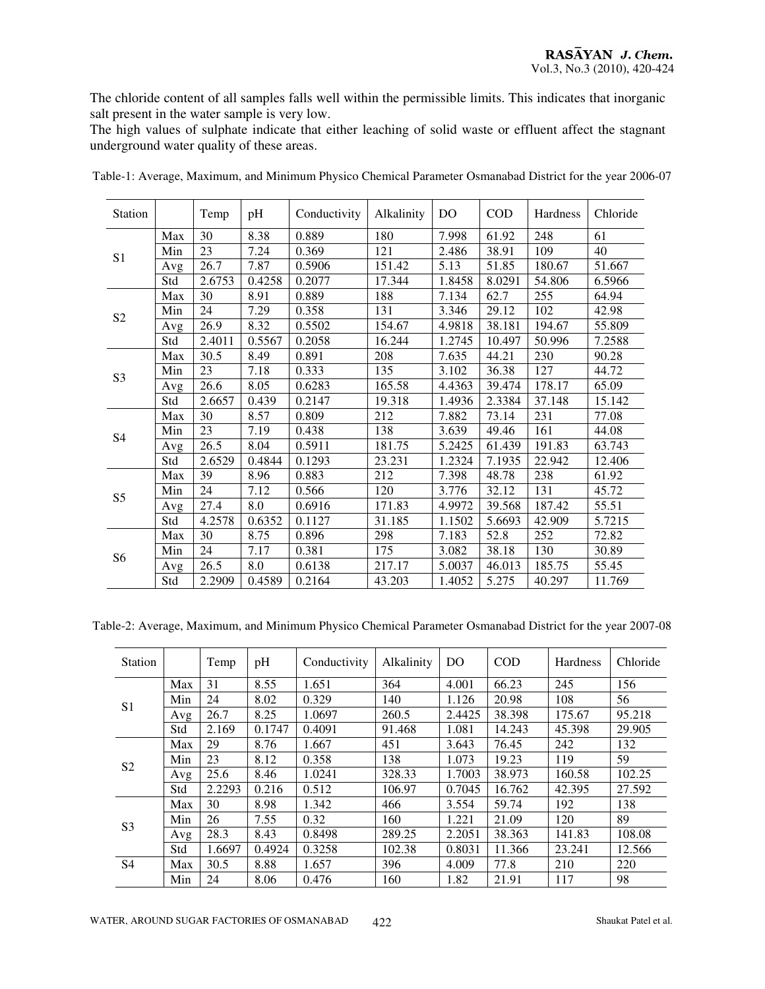The chloride content of all samples falls well within the permissible limits. This indicates that inorganic salt present in the water sample is very low.

The high values of sulphate indicate that either leaching of solid waste or effluent affect the stagnant underground water quality of these areas.

| Station        |     | Temp   | pH     | Conductivity | Alkalinity | DO     | <b>COD</b> | Hardness | Chloride |
|----------------|-----|--------|--------|--------------|------------|--------|------------|----------|----------|
| S1             | Max | 30     | 8.38   | 0.889        | 180        | 7.998  | 61.92      | 248      | 61       |
|                | Min | 23     | 7.24   | 0.369        | 121        | 2.486  | 38.91      | 109      | 40       |
|                | Avg | 26.7   | 7.87   | 0.5906       | 151.42     | 5.13   | 51.85      | 180.67   | 51.667   |
|                | Std | 2.6753 | 0.4258 | 0.2077       | 17.344     | 1.8458 | 8.0291     | 54.806   | 6.5966   |
|                | Max | 30     | 8.91   | 0.889        | 188        | 7.134  | 62.7       | 255      | 64.94    |
| S <sub>2</sub> | Min | 24     | 7.29   | 0.358        | 131        | 3.346  | 29.12      | 102      | 42.98    |
|                | Avg | 26.9   | 8.32   | 0.5502       | 154.67     | 4.9818 | 38.181     | 194.67   | 55.809   |
|                | Std | 2.4011 | 0.5567 | 0.2058       | 16.244     | 1.2745 | 10.497     | 50.996   | 7.2588   |
|                | Max | 30.5   | 8.49   | 0.891        | 208        | 7.635  | 44.21      | 230      | 90.28    |
| S <sub>3</sub> | Min | 23     | 7.18   | 0.333        | 135        | 3.102  | 36.38      | 127      | 44.72    |
|                | Avg | 26.6   | 8.05   | 0.6283       | 165.58     | 4.4363 | 39.474     | 178.17   | 65.09    |
|                | Std | 2.6657 | 0.439  | 0.2147       | 19.318     | 1.4936 | 2.3384     | 37.148   | 15.142   |
|                | Max | 30     | 8.57   | 0.809        | 212        | 7.882  | 73.14      | 231      | 77.08    |
| S4             | Min | 23     | 7.19   | 0.438        | 138        | 3.639  | 49.46      | 161      | 44.08    |
|                | Avg | 26.5   | 8.04   | 0.5911       | 181.75     | 5.2425 | 61.439     | 191.83   | 63.743   |
|                | Std | 2.6529 | 0.4844 | 0.1293       | 23.231     | 1.2324 | 7.1935     | 22.942   | 12.406   |
| S <sub>5</sub> | Max | 39     | 8.96   | 0.883        | 212        | 7.398  | 48.78      | 238      | 61.92    |
|                | Min | 24     | 7.12   | 0.566        | 120        | 3.776  | 32.12      | 131      | 45.72    |
|                | Avg | 27.4   | 8.0    | 0.6916       | 171.83     | 4.9972 | 39.568     | 187.42   | 55.51    |
|                | Std | 4.2578 | 0.6352 | 0.1127       | 31.185     | 1.1502 | 5.6693     | 42.909   | 5.7215   |
| S <sub>6</sub> | Max | 30     | 8.75   | 0.896        | 298        | 7.183  | 52.8       | 252      | 72.82    |
|                | Min | 24     | 7.17   | 0.381        | 175        | 3.082  | 38.18      | 130      | 30.89    |
|                | Avg | 26.5   | 8.0    | 0.6138       | 217.17     | 5.0037 | 46.013     | 185.75   | 55.45    |
|                | Std | 2.2909 | 0.4589 | 0.2164       | 43.203     | 1.4052 | 5.275      | 40.297   | 11.769   |

Table-1: Average, Maximum, and Minimum Physico Chemical Parameter Osmanabad District for the year 2006-07

Table-2: Average, Maximum, and Minimum Physico Chemical Parameter Osmanabad District for the year 2007-08

| <b>Station</b> |     | Temp   | pH     | Conductivity | Alkalinity | D <sub>O</sub> | COD    | <b>Hardness</b> | Chloride |
|----------------|-----|--------|--------|--------------|------------|----------------|--------|-----------------|----------|
| S <sub>1</sub> | Max | 31     | 8.55   | 1.651        | 364        | 4.001          | 66.23  | 245             | 156      |
|                | Min | 24     | 8.02   | 0.329        | 140        | 1.126          | 20.98  | 108             | 56       |
|                | Avg | 26.7   | 8.25   | 1.0697       | 260.5      | 2.4425         | 38.398 | 175.67          | 95.218   |
|                | Std | 2.169  | 0.1747 | 0.4091       | 91.468     | 1.081          | 14.243 | 45.398          | 29.905   |
| S <sub>2</sub> | Max | 29     | 8.76   | 1.667        | 451        | 3.643          | 76.45  | 242             | 132      |
|                | Min | 23     | 8.12   | 0.358        | 138        | 1.073          | 19.23  | 119             | 59       |
|                | Avg | 25.6   | 8.46   | 1.0241       | 328.33     | 1.7003         | 38.973 | 160.58          | 102.25   |
|                | Std | 2.2293 | 0.216  | 0.512        | 106.97     | 0.7045         | 16.762 | 42.395          | 27.592   |
| S <sub>3</sub> | Max | 30     | 8.98   | 1.342        | 466        | 3.554          | 59.74  | 192             | 138      |
|                | Min | 26     | 7.55   | 0.32         | 160        | 1.221          | 21.09  | 120             | 89       |
|                | Avg | 28.3   | 8.43   | 0.8498       | 289.25     | 2.2051         | 38.363 | 141.83          | 108.08   |
|                | Std | 1.6697 | 0.4924 | 0.3258       | 102.38     | 0.8031         | 11.366 | 23.241          | 12.566   |
| S <sub>4</sub> | Max | 30.5   | 8.88   | 1.657        | 396        | 4.009          | 77.8   | 210             | 220      |
|                | Min | 24     | 8.06   | 0.476        | 160        | 1.82           | 21.91  | 117             | 98       |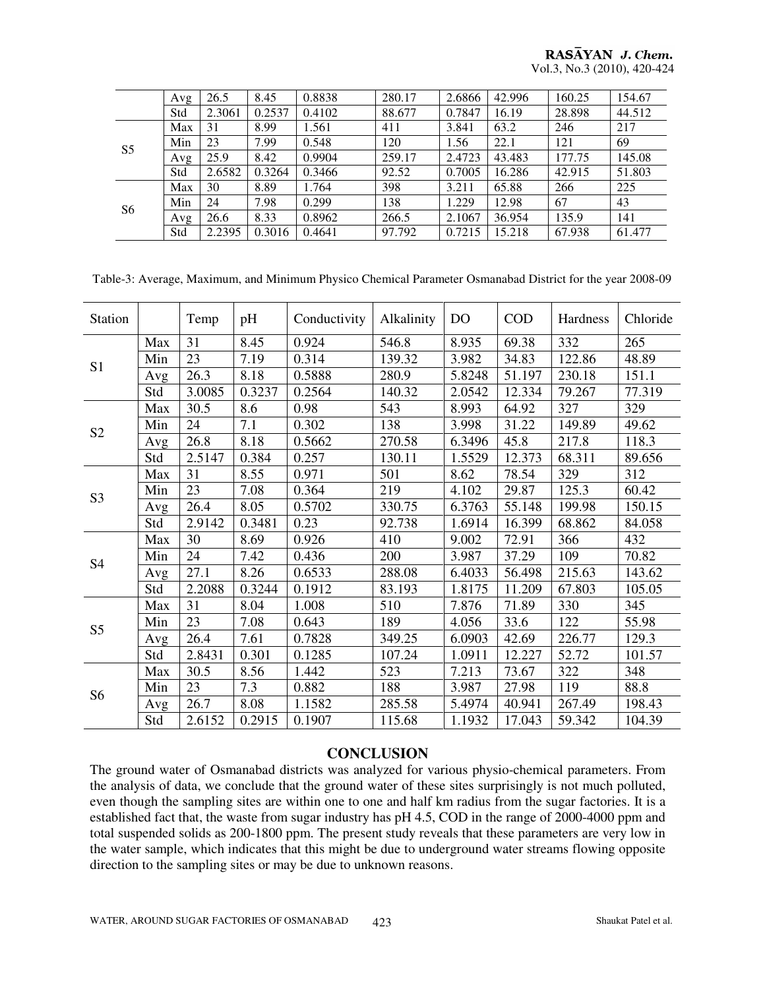#### RASAYAN J. Chem. Vol.3, No.3 (2010), 420-424

|                | Avg | 26.5   | 8.45   | 0.8838 | 280.17 | 2.6866 | 42.996 | 160.25 | 154.67 |
|----------------|-----|--------|--------|--------|--------|--------|--------|--------|--------|
|                | Std | 2.3061 | 0.2537 | 0.4102 | 88.677 | 0.7847 | 16.19  | 28.898 | 44.512 |
| S <sub>5</sub> | Max | 31     | 8.99   | 1.561  | 411    | 3.841  | 63.2   | 246    | 217    |
|                | Min | 23     | 7.99   | 0.548  | 120    | 1.56   | 22.1   | 121    | 69     |
|                | Avg | 25.9   | 8.42   | 0.9904 | 259.17 | 2.4723 | 43.483 | 177.75 | 145.08 |
|                | Std | 2.6582 | 0.3264 | 0.3466 | 92.52  | 0.7005 | 16.286 | 42.915 | 51.803 |
| S <sub>6</sub> | Max | 30     | 8.89   | 1.764  | 398    | 3.211  | 65.88  | 266    | 225    |
|                | Min | 24     | 7.98   | 0.299  | 138    | 1.229  | 12.98  | 67     | 43     |
|                | Avg | 26.6   | 8.33   | 0.8962 | 266.5  | 2.1067 | 36.954 | 135.9  | 141    |
|                | Std | 2.2395 | 0.3016 | 0.4641 | 97.792 | 0.7215 | 15.218 | 67.938 | 61.477 |

Table-3: Average, Maximum, and Minimum Physico Chemical Parameter Osmanabad District for the year 2008-09

| <b>Station</b> |     | Temp   | pH     | Conductivity | Alkalinity | DO     | <b>COD</b> | Hardness | Chloride |
|----------------|-----|--------|--------|--------------|------------|--------|------------|----------|----------|
| S <sub>1</sub> | Max | 31     | 8.45   | 0.924        | 546.8      | 8.935  | 69.38      | 332      | 265      |
|                | Min | 23     | 7.19   | 0.314        | 139.32     | 3.982  | 34.83      | 122.86   | 48.89    |
|                | Avg | 26.3   | 8.18   | 0.5888       | 280.9      | 5.8248 | 51.197     | 230.18   | 151.1    |
|                | Std | 3.0085 | 0.3237 | 0.2564       | 140.32     | 2.0542 | 12.334     | 79.267   | 77.319   |
|                | Max | 30.5   | 8.6    | 0.98         | 543        | 8.993  | 64.92      | 327      | 329      |
| S <sub>2</sub> | Min | 24     | 7.1    | 0.302        | 138        | 3.998  | 31.22      | 149.89   | 49.62    |
|                | Avg | 26.8   | 8.18   | 0.5662       | 270.58     | 6.3496 | 45.8       | 217.8    | 118.3    |
|                | Std | 2.5147 | 0.384  | 0.257        | 130.11     | 1.5529 | 12.373     | 68.311   | 89.656   |
| S <sub>3</sub> | Max | 31     | 8.55   | 0.971        | 501        | 8.62   | 78.54      | 329      | 312      |
|                | Min | 23     | 7.08   | 0.364        | 219        | 4.102  | 29.87      | 125.3    | 60.42    |
|                | Avg | 26.4   | 8.05   | 0.5702       | 330.75     | 6.3763 | 55.148     | 199.98   | 150.15   |
|                | Std | 2.9142 | 0.3481 | 0.23         | 92.738     | 1.6914 | 16.399     | 68.862   | 84.058   |
|                | Max | 30     | 8.69   | 0.926        | 410        | 9.002  | 72.91      | 366      | 432      |
| S <sub>4</sub> | Min | 24     | 7.42   | 0.436        | 200        | 3.987  | 37.29      | 109      | 70.82    |
|                | Avg | 27.1   | 8.26   | 0.6533       | 288.08     | 6.4033 | 56.498     | 215.63   | 143.62   |
|                | Std | 2.2088 | 0.3244 | 0.1912       | 83.193     | 1.8175 | 11.209     | 67.803   | 105.05   |
| S <sub>5</sub> | Max | 31     | 8.04   | 1.008        | 510        | 7.876  | 71.89      | 330      | 345      |
|                | Min | 23     | 7.08   | 0.643        | 189        | 4.056  | 33.6       | 122      | 55.98    |
|                | Avg | 26.4   | 7.61   | 0.7828       | 349.25     | 6.0903 | 42.69      | 226.77   | 129.3    |
|                | Std | 2.8431 | 0.301  | 0.1285       | 107.24     | 1.0911 | 12.227     | 52.72    | 101.57   |
| S <sub>6</sub> | Max | 30.5   | 8.56   | 1.442        | 523        | 7.213  | 73.67      | 322      | 348      |
|                | Min | 23     | 7.3    | 0.882        | 188        | 3.987  | 27.98      | 119      | 88.8     |
|                | Avg | 26.7   | 8.08   | 1.1582       | 285.58     | 5.4974 | 40.941     | 267.49   | 198.43   |
|                | Std | 2.6152 | 0.2915 | 0.1907       | 115.68     | 1.1932 | 17.043     | 59.342   | 104.39   |

#### **CONCLUSION**

The ground water of Osmanabad districts was analyzed for various physio-chemical parameters. From the analysis of data, we conclude that the ground water of these sites surprisingly is not much polluted, even though the sampling sites are within one to one and half km radius from the sugar factories. It is a established fact that, the waste from sugar industry has pH 4.5, COD in the range of 2000-4000 ppm and total suspended solids as 200-1800 ppm. The present study reveals that these parameters are very low in the water sample, which indicates that this might be due to underground water streams flowing opposite direction to the sampling sites or may be due to unknown reasons.